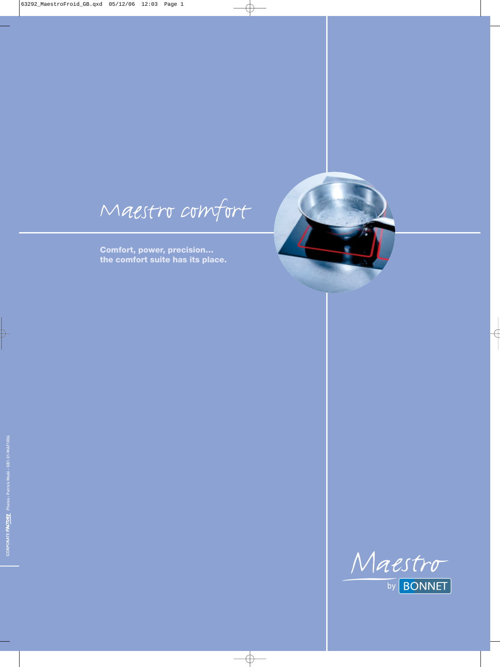Maestro comfort

**Comfort, power, precision… the comfort suite has its place.**

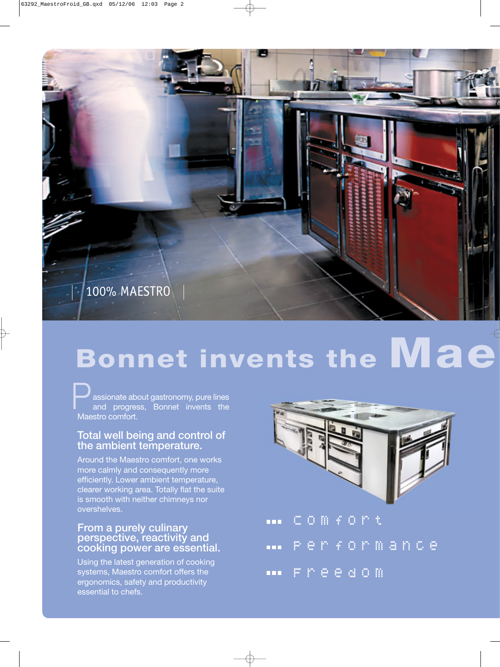

# **Bonnet invents the Mae**

assionate about gastronomy, pure lines and progress, Bonnet invents the **Massionate absorption**<br>and progres<br>Maestro comfort.

#### **Total well being and control of the ambient temperature.**

Around the Maestro comfort, one works more calmly and consequently more efficiently. Lower ambient temperature, clearer working area. Totally flat the suite is smooth with neither chimneys nor overshelves.

#### **From a purely culinary perspective, reactivity and cooking power are essential.**

Using the latest generation of cooking systems, Maestro comfort offers the ergonomics, safety and productivity essential to chefs.



| CODFORt             |  |  |  |  |  |  |
|---------------------|--|--|--|--|--|--|
| <b></b> Performance |  |  |  |  |  |  |
| Freedom             |  |  |  |  |  |  |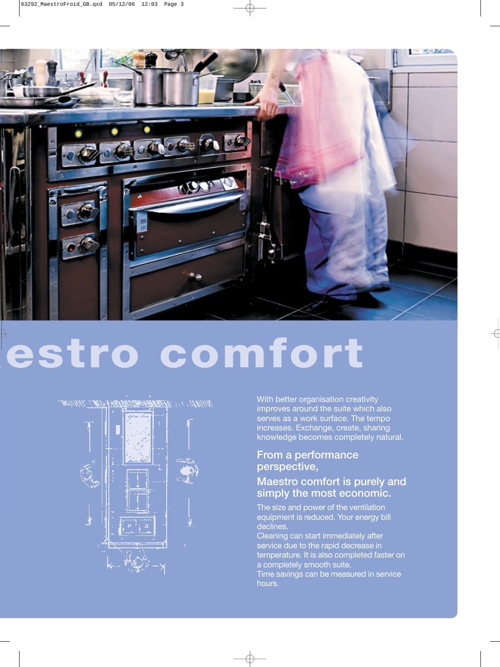

# **aestro comfort**

WARD TO THE COMMITTEE STATES OF SHIPS



With better organisation creativity improves around the suite which also serves as a work surface. The tempo increases. Exchange, create, sharing knowledge becomes completely natural.

#### **From a performance perspective,**

#### **Maestro comfort is purely and simply the most economic.**

The size and power of the ventilation equipment is reduced. Your energy bill declines.

Cleaning can start immediately after service due to the rapid decrease in temperature. It is also completed faster on a completely smooth suite.

Time savings can be measured in service hours.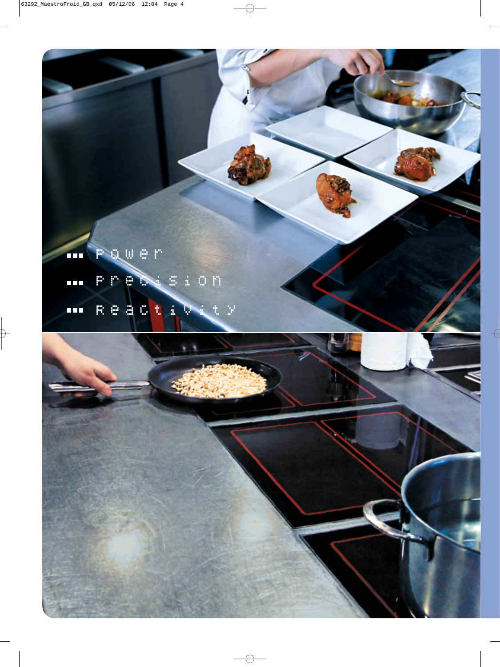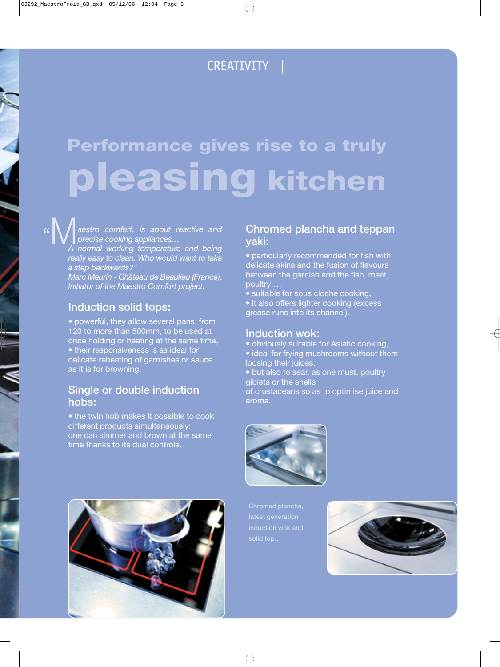### CREATIVITY

## **Performance gives rise to a truly pleasing kitchen**

*aestro comfort, is about reactive and precise cooking appliances… A normal working temperature and being*

*really easy to clean. Who would want to take a step backwards?"*

*Marc Meurin - Château de Beaulieu (France), Initiator of the Maestro Comfort project.*

#### **Induction solid tops:**

• powerful, they allow several pans, from 120 to more than 500mm, to be used at once holding or heating at the same time, • their responsiveness is as ideal for delicate reheating of garnishes or sauce as it is for browning.

#### **Single or double induction hobs:**

• the twin hob makes it possible to cook different products simultaneously: one can simmer and brown at the same time thanks to its dual controls.

#### **Chromed plancha and teppan yaki:**

• particularly recommended for fish with delicate skins and the fusion of flavours between the garnish and the fish, meat, poultry….

- suitable for sous cloche cooking,
- it also offers lighter cooking (excess grease runs into its channel).

#### **Induction wok:**

- obviously suitable for Asiatic cooking,
- ideal for frying mushrooms without them loosing their juices,
- but also to sear, as one must, poultry giblets or the shells

of crustaceans so as to optimise juice and aroma.



**latest generation**



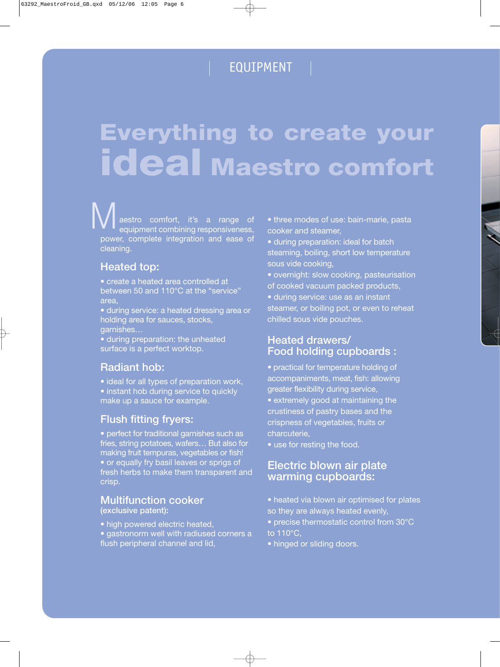### EQUIPMENT |

## **Everything to create your ideal Maestro comfort**

aestro comfort, it's a range of equipment combining responsiveness, power, complete integration and ease of cleaning. **WA** aestro comfort, it's a range of • three modes of use: bain-marie, pasta<br>equipment combining responsiveness, cooker and steamer,

#### **Heated top:**

• create a heated area controlled at between 50 and 110°C at the "service" area,

• during service: a heated dressing area or holding area for sauces, stocks, garnishes…

• during preparation: the unheated surface is a perfect worktop.

#### **Radiant hob:**

• ideal for all types of preparation work, • instant hob during service to quickly make up a sauce for example.

#### **Flush fitting fryers:**

• perfect for traditional garnishes such as fries, string potatoes, wafers… But also for making fruit tempuras, vegetables or fish! • or equally fry basil leaves or sprigs of fresh herbs to make them transparent and crisp.

#### **Multifunction cooker (exclusive patent):**

- high powered electric heated,
- gastronorm well with radiused corners a flush peripheral channel and lid,

cooker and steamer,

• during preparation: ideal for batch steaming, boiling, short low temperature sous vide cooking,

- overnight: slow cooking, pasteurisation of cooked vacuum packed products,
- during service: use as an instant steamer, or boiling pot, or even to reheat chilled sous vide pouches.

#### **Heated drawers/ Food holding cupboards :**

- practical for temperature holding of accompaniments, meat, fish: allowing greater flexibility during service,
- extremely good at maintaining the crustiness of pastry bases and the crispness of vegetables, fruits or charcuterie,
- use for resting the food.

#### **Electric blown air plate warming cupboards:**

- heated via blown air optimised for plates so they are always heated evenly,
- precise thermostatic control from 30°C to 110°C,
- hinged or sliding doors.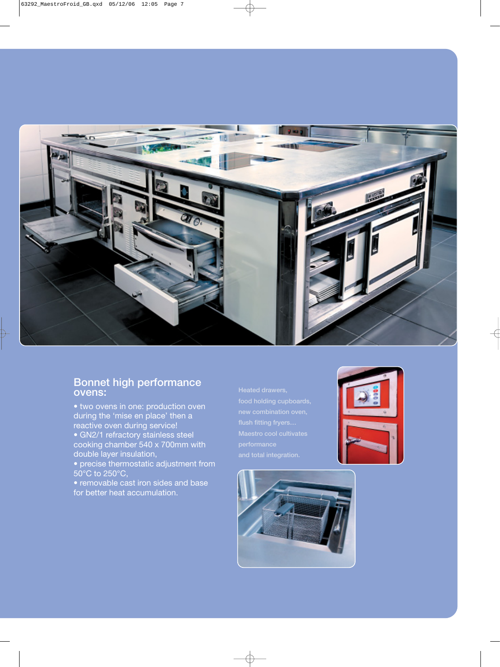

#### **Bonnet high performance ovens:**

- two ovens in one: production oven during the 'mise en place' then a reactive oven during service! • GN2/1 refractory stainless steel cooking chamber 540 x 700mm with double layer insulation,
- precise thermostatic adjustment from 50°C to 250°C,
- removable cast iron sides and base for better heat accumulation.
- **and total integration.**